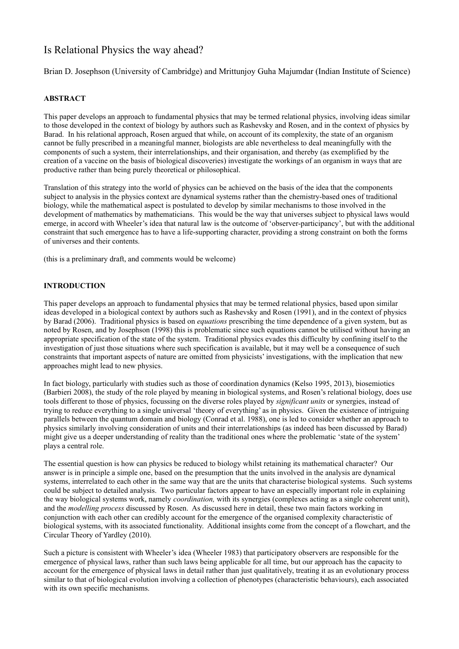# Is Relational Physics the way ahead?

Brian D. Josephson (University of Cambridge) and Mrittunjoy Guha Majumdar (Indian Institute of Science)

# **ABSTRACT**

This paper develops an approach to fundamental physics that may be termed relational physics, involving ideas similar to those developed in the context of biology by authors such as Rashevsky and Rosen, and in the context of physics by Barad. In his relational approach, Rosen argued that while, on account of its complexity, the state of an organism cannot be fully prescribed in a meaningful manner, biologists are able nevertheless to deal meaningfully with the components of such a system, their interrelationships, and their organisation, and thereby (as exemplified by the creation of a vaccine on the basis of biological discoveries) investigate the workings of an organism in ways that are productive rather than being purely theoretical or philosophical.

Translation of this strategy into the world of physics can be achieved on the basis of the idea that the components subject to analysis in the physics context are dynamical systems rather than the chemistry-based ones of traditional biology, while the mathematical aspect is postulated to develop by similar mechanisms to those involved in the development of mathematics by mathematicians. This would be the way that universes subject to physical laws would emerge, in accord with Wheeler's idea that natural law is the outcome of 'observer-participancy', but with the additional constraint that such emergence has to have a life-supporting character, providing a strong constraint on both the forms of universes and their contents.

(this is a preliminary draft, and comments would be welcome)

## **INTRODUCTION**

This paper develops an approach to fundamental physics that may be termed relational physics, based upon similar ideas developed in a biological context by authors such as Rashevsky and Rosen (1991), and in the context of physics by Barad (2006). Traditional physics is based on *equations* prescribing the time dependence of a given system, but as noted by Rosen, and by Josephson (1998) this is problematic since such equations cannot be utilised without having an appropriate specification of the state of the system. Traditional physics evades this difficulty by confining itself to the investigation of just those situations where such specification is available, but it may well be a consequence of such constraints that important aspects of nature are omitted from physicists' investigations, with the implication that new approaches might lead to new physics.

In fact biology, particularly with studies such as those of coordination dynamics (Kelso 1995, 2013), biosemiotics (Barbieri 2008), the study of the role played by meaning in biological systems, and Rosen's relational biology, does use tools different to those of physics, focussing on the diverse roles played by *significant units* or synergies, instead of trying to reduce everything to a single universal 'theory of everything' as in physics. Given the existence of intriguing parallels between the quantum domain and biology (Conrad et al. 1988), one is led to consider whether an approach to physics similarly involving consideration of units and their interrelationships (as indeed has been discussed by Barad) might give us a deeper understanding of reality than the traditional ones where the problematic 'state of the system' plays a central role.

The essential question is how can physics be reduced to biology whilst retaining its mathematical character? Our answer is in principle a simple one, based on the presumption that the units involved in the analysis are dynamical systems, interrelated to each other in the same way that are the units that characterise biological systems. Such systems could be subject to detailed analysis. Two particular factors appear to have an especially important role in explaining the way biological systems work, namely *coordination,* with its synergies (complexes acting as a single coherent unit), and the *modelling process* discussed by Rosen. As discussed here in detail, these two main factors working in conjunction with each other can credibly account for the emergence of the organised complexity characteristic of biological systems, with its associated functionality. Additional insights come from the concept of a flowchart, and the Circular Theory of Yardley (2010).

Such a picture is consistent with Wheeler's idea (Wheeler 1983) that participatory observers are responsible for the emergence of physical laws, rather than such laws being applicable for all time, but our approach has the capacity to account for the emergence of physical laws in detail rather than just qualitatively, treating it as an evolutionary process similar to that of biological evolution involving a collection of phenotypes (characteristic behaviours), each associated with its own specific mechanisms.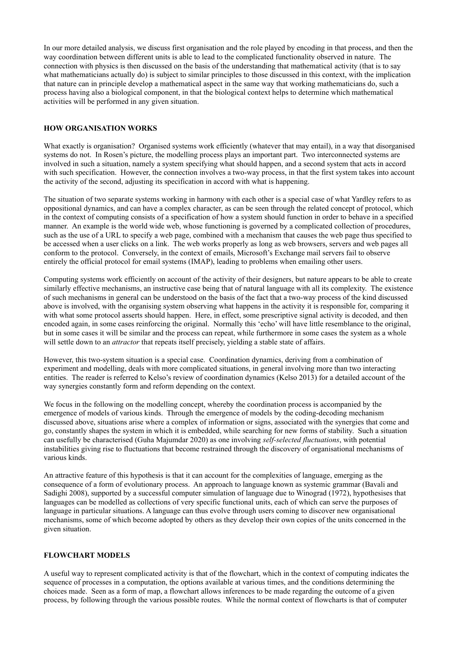In our more detailed analysis, we discuss first organisation and the role played by encoding in that process, and then the way coordination between different units is able to lead to the complicated functionality observed in nature. The connection with physics is then discussed on the basis of the understanding that mathematical activity (that is to say what mathematicians actually do) is subject to similar principles to those discussed in this context, with the implication that nature can in principle develop a mathematical aspect in the same way that working mathematicians do, such a process having also a biological component, in that the biological context helps to determine which mathematical activities will be performed in any given situation.

#### **HOW ORGANISATION WORKS**

What exactly is organisation? Organised systems work efficiently (whatever that may entail), in a way that disorganised systems do not. In Rosen's picture, the modelling process plays an important part. Two interconnected systems are involved in such a situation, namely a system specifying what should happen, and a second system that acts in accord with such specification. However, the connection involves a two-way process, in that the first system takes into account the activity of the second, adjusting its specification in accord with what is happening.

The situation of two separate systems working in harmony with each other is a special case of what Yardley refers to as oppositional dynamics, and can have a complex character, as can be seen through the related concept of protocol, which in the context of computing consists of a specification of how a system should function in order to behave in a specified manner. An example is the world wide web, whose functioning is governed by a complicated collection of procedures, such as the use of a URL to specify a web page, combined with a mechanism that causes the web page thus specified to be accessed when a user clicks on a link. The web works properly as long as web browsers, servers and web pages all conform to the protocol. Conversely, in the context of emails, Microsoft's Exchange mail servers fail to observe entirely the official protocol for email systems (IMAP), leading to problems when emailing other users.

Computing systems work efficiently on account of the activity of their designers, but nature appears to be able to create similarly effective mechanisms, an instructive case being that of natural language with all its complexity. The existence of such mechanisms in general can be understood on the basis of the fact that a two-way process of the kind discussed above is involved, with the organising system observing what happens in the activity it is responsible for, comparing it with what some protocol asserts should happen. Here, in effect, some prescriptive signal activity is decoded, and then encoded again, in some cases reinforcing the original. Normally this 'echo' will have little resemblance to the original, but in some cases it will be similar and the process can repeat, while furthermore in some cases the system as a whole will settle down to an *attractor* that repeats itself precisely, yielding a stable state of affairs.

However, this two-system situation is a special case. Coordination dynamics, deriving from a combination of experiment and modelling, deals with more complicated situations, in general involving more than two interacting entities. The reader is referred to Kelso's review of coordination dynamics (Kelso 2013) for a detailed account of the way synergies constantly form and reform depending on the context.

We focus in the following on the modelling concept, whereby the coordination process is accompanied by the emergence of models of various kinds. Through the emergence of models by the coding-decoding mechanism discussed above, situations arise where a complex of information or signs, associated with the synergies that come and go, constantly shapes the system in which it is embedded, while searching for new forms of stability. Such a situation can usefully be characterised (Guha Majumdar 2020) as one involving *self-selected fluctuations*, with potential instabilities giving rise to fluctuations that become restrained through the discovery of organisational mechanisms of various kinds.

An attractive feature of this hypothesis is that it can account for the complexities of language, emerging as the consequence of a form of evolutionary process. An approach to language known as systemic grammar (Bavali and Sadighi 2008), supported by a successful computer simulation of language due to Winograd (1972), hypothesises that languages can be modelled as collections of very specific functional units, each of which can serve the purposes of language in particular situations. A language can thus evolve through users coming to discover new organisational mechanisms, some of which become adopted by others as they develop their own copies of the units concerned in the given situation.

#### **FLOWCHART MODELS**

A useful way to represent complicated activity is that of the flowchart, which in the context of computing indicates the sequence of processes in a computation, the options available at various times, and the conditions determining the choices made. Seen as a form of map, a flowchart allows inferences to be made regarding the outcome of a given process, by following through the various possible routes. While the normal context of flowcharts is that of computer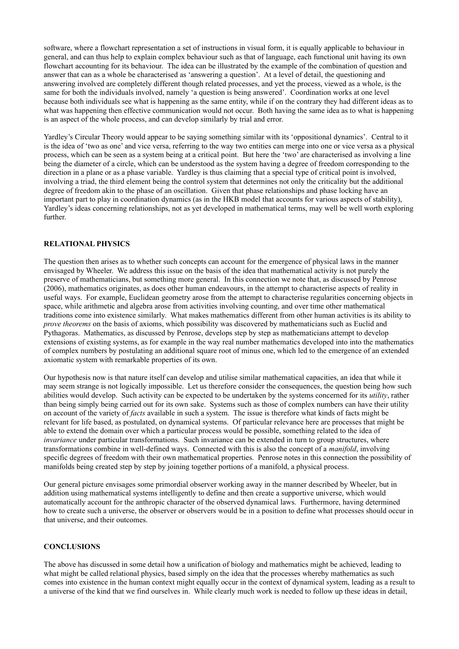software, where a flowchart representation a set of instructions in visual form, it is equally applicable to behaviour in general, and can thus help to explain complex behaviour such as that of language, each functional unit having its own flowchart accounting for its behaviour. The idea can be illustrated by the example of the combination of question and answer that can as a whole be characterised as 'answering a question'. At a level of detail, the questioning and answering involved are completely different though related processes, and yet the process, viewed as a whole, is the same for both the individuals involved, namely 'a question is being answered'. Coordination works at one level because both individuals see what is happening as the same entity, while if on the contrary they had different ideas as to what was happening then effective communication would not occur. Both having the same idea as to what is happening is an aspect of the whole process, and can develop similarly by trial and error.

Yardley's Circular Theory would appear to be saying something similar with its 'oppositional dynamics'. Central to it is the idea of 'two as one' and vice versa, referring to the way two entities can merge into one or vice versa as a physical process, which can be seen as a system being at a critical point. But here the 'two' are characterised as involving a line being the diameter of a circle, which can be understood as the system having a degree of freedom corresponding to the direction in a plane or as a phase variable. Yardley is thus claiming that a special type of critical point is involved, involving a triad, the third element being the control system that determines not only the criticality but the additional degree of freedom akin to the phase of an oscillation. Given that phase relationships and phase locking have an important part to play in coordination dynamics (as in the HKB model that accounts for various aspects of stability), Yardley's ideas concerning relationships, not as yet developed in mathematical terms, may well be well worth exploring further.

#### **RELATIONAL PHYSICS**

The question then arises as to whether such concepts can account for the emergence of physical laws in the manner envisaged by Wheeler. We address this issue on the basis of the idea that mathematical activity is not purely the preserve of mathematicians, but something more general. In this connection we note that, as discussed by Penrose (2006), mathematics originates, as does other human endeavours, in the attempt to characterise aspects of reality in useful ways. For example, Euclidean geometry arose from the attempt to characterise regularities concerning objects in space, while arithmetic and algebra arose from activities involving counting, and over time other mathematical traditions come into existence similarly. What makes mathematics different from other human activities is its ability to *prove theorems* on the basis of axioms, which possibility was discovered by mathematicians such as Euclid and Pythagoras. Mathematics, as discussed by Penrose, develops step by step as mathematicians attempt to develop extensions of existing systems, as for example in the way real number mathematics developed into into the mathematics of complex numbers by postulating an additional square root of minus one, which led to the emergence of an extended axiomatic system with remarkable properties of its own.

Our hypothesis now is that nature itself can develop and utilise similar mathematical capacities, an idea that while it may seem strange is not logically impossible. Let us therefore consider the consequences, the question being how such abilities would develop. Such activity can be expected to be undertaken by the systems concerned for its *utility*, rather than being simply being carried out for its own sake. Systems such as those of complex numbers can have their utility on account of the variety of *facts* available in such a system. The issue is therefore what kinds of facts might be relevant for life based, as postulated, on dynamical systems. Of particular relevance here are processes that might be able to extend the domain over which a particular process would be possible, something related to the idea of *invariance* under particular transformations. Such invariance can be extended in turn to group structures, where transformations combine in well-defined ways. Connected with this is also the concept of a *manifold*, involving specific degrees of freedom with their own mathematical properties. Penrose notes in this connection the possibility of manifolds being created step by step by joining together portions of a manifold, a physical process.

Our general picture envisages some primordial observer working away in the manner described by Wheeler, but in addition using mathematical systems intelligently to define and then create a supportive universe, which would automatically account for the anthropic character of the observed dynamical laws. Furthermore, having determined how to create such a universe, the observer or observers would be in a position to define what processes should occur in that universe, and their outcomes.

#### **CONCLUSIONS**

The above has discussed in some detail how a unification of biology and mathematics might be achieved, leading to what might be called relational physics, based simply on the idea that the processes whereby mathematics as such comes into existence in the human context might equally occur in the context of dynamical system, leading as a result to a universe of the kind that we find ourselves in. While clearly much work is needed to follow up these ideas in detail,